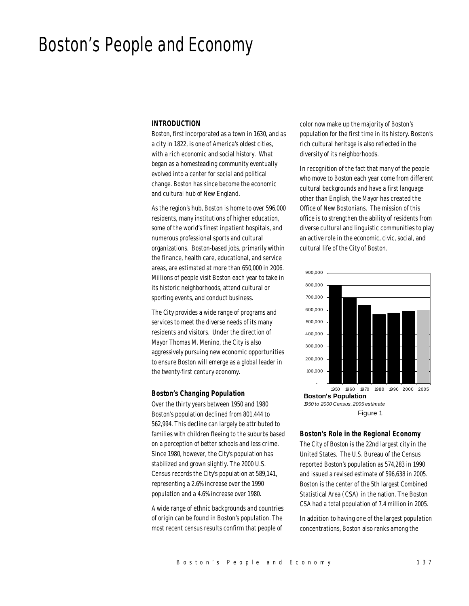# Boston's People and Economy

#### *INTRODUCTION*

Boston, first incorporated as a town in 1630, and as a city in 1822, is one of America's oldest cities, with a rich economic and social history. What began as a homesteading community eventually evolved into a center for social and political change. Boston has since become the economic and cultural hub of New England.

As the region's hub, Boston is home to over 596,000 residents, many institutions of higher education, some of the world's finest inpatient hospitals, and numerous professional sports and cultural organizations. Boston-based jobs, primarily within the finance, health care, educational, and service areas, are estimated at more than 650,000 in 2006. Millions of people visit Boston each year to take in its historic neighborhoods, attend cultural or sporting events, and conduct business.

The City provides a wide range of programs and services to meet the diverse needs of its many residents and visitors. Under the direction of Mayor Thomas M. Menino, the City is also aggressively pursuing new economic opportunities to ensure Boston will emerge as a global leader in the twenty-first century economy.

#### *Boston's Changing Population*

Over the thirty years between 1950 and 1980 Boston's population declined from 801,444 to 562,994. This decline can largely be attributed to families with children fleeing to the suburbs based on a perception of better schools and less crime. Since 1980, however, the City's population has stabilized and grown slightly. The 2000 U.S. Census records the City's population at 589,141, representing a 2.6% increase over the 1990 population and a 4.6% increase over 1980.

A wide range of ethnic backgrounds and countries of origin can be found in Boston's population. The most recent census results confirm that people of

color now make up the majority of Boston's population for the first time in its history. Boston's rich cultural heritage is also reflected in the diversity of its neighborhoods.

In recognition of the fact that many of the people who move to Boston each year come from different cultural backgrounds and have a first language other than English, the Mayor has created the Office of New Bostonians. The mission of this office is to strengthen the ability of residents from diverse cultural and linguistic communities to play an active role in the economic, civic, social, and cultural life of the City of Boston.



#### *Boston's Role in the Regional Economy*

The City of Boston is the 22nd largest city in the United States. The U.S. Bureau of the Census reported Boston's population as 574,283 in 1990 and issued a revised estimate of 596,638 in 2005. Boston is the center of the 5th largest Combined Statistical Area (CSA) in the nation. The Boston CSA had a total population of 7.4 million in 2005.

In addition to having one of the largest population concentrations, Boston also ranks among the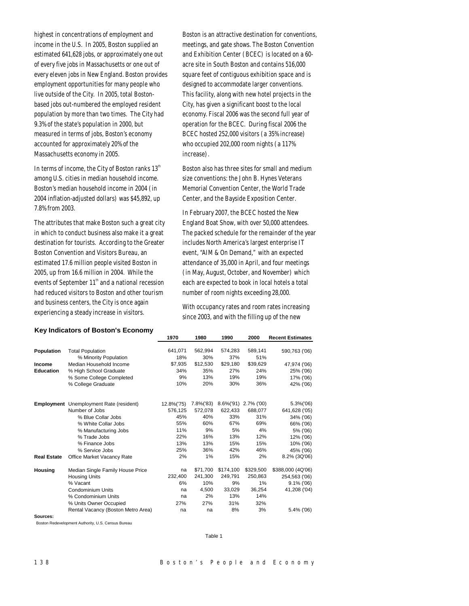highest in concentrations of employment and income in the U.S. In 2005, Boston supplied an estimated 641,628 jobs, or approximately one out of every five jobs in Massachusetts or one out of every eleven jobs in New England. Boston provides employment opportunities for many people who live outside of the City. In 2005, total Bostonbased jobs out-numbered the employed resident population by more than two times. The City had 9.3% of the state's population in 2000, but measured in terms of jobs, Boston's economy accounted for approximately 20% of the Massachusetts economy in 2005.

In terms of income, the City of Boston ranks  $13<sup>th</sup>$ among U.S. cities in median household income. Boston's median household income in 2004 (in 2004 inflation-adjusted dollars) was \$45,892, up 7.8% from 2003.

The attributes that make Boston such a great city in which to conduct business also make it a great destination for tourists. According to the Greater Boston Convention and Visitors Bureau, an estimated 17.6 million people visited Boston in 2005, up from 16.6 million in 2004. While the events of September 11<sup>th</sup> and a national recession had reduced visitors to Boston and other tourism and business centers, the City is once again experiencing a steady increase in visitors.

**Key Indicators of Boston's Economy**

Boston is an attractive destination for conventions, meetings, and gate shows. The Boston Convention and Exhibition Center (BCEC) is located on a 60 acre site in South Boston and contains 516,000 square feet of contiguous exhibition space and is designed to accommodate larger conventions. This facility, along with new hotel projects in the City, has given a significant boost to the local economy. Fiscal 2006 was the second full year of operation for the BCEC. During fiscal 2006 the BCEC hosted 252,000 visitors (a 35% increase) who occupied 202,000 room nights (a 117% increase).

Boston also has three sites for small and medium size conventions: the John B. Hynes Veterans Memorial Convention Center, the World Trade Center, and the Bayside Exposition Center.

In February 2007, the BCEC hosted the New England Boat Show, with over 50,000 attendees. The packed schedule for the remainder of the year includes North America's largest enterprise IT event, "AIM & On Demand," with an expected attendance of 35,000 in April, and four meetings (in May, August, October, and November) which each are expected to book in local hotels a total number of room nights exceeding 28,000.

With occupancy rates and room rates increasing since 2003, and with the filling up of the new

|                    |                                                | 1970       | 1980      | 1990      | 2000       | <b>Recent Estimates</b> |
|--------------------|------------------------------------------------|------------|-----------|-----------|------------|-------------------------|
|                    |                                                |            |           |           |            |                         |
| Population         | <b>Total Population</b>                        | 641,071    | 562,994   | 574,283   | 589,141    | 590,763 ('06)           |
|                    | % Minority Population                          | 18%        | 30%       | 37%       | 51%        |                         |
| Income             | Median Household Income                        | \$7,935    | \$12,530  | \$29,180  | \$39,629   | 47,974 ('06)            |
| <b>Education</b>   | % High School Graduate                         | 34%        | 35%       | 27%       | 24%        | 25% ('06)               |
|                    | % Some College Completed                       | 9%         | 13%       | 19%       | 19%        | 17% ('06)               |
|                    | % College Graduate                             | 10%        | 20%       | 30%       | 36%        | 42% ('06)               |
|                    | <b>Employment</b> Unemployment Rate (resident) | 12.8%('75) | 7.8%('83) | 8.6%('91) | 2.7% ('00) | 5.3%('06)               |
|                    | Number of Jobs                                 | 576,125    | 572,078   | 622,433   | 688,077    | 641,628 ('05)           |
|                    | % Blue Collar Jobs                             | 45%        | 40%       | 33%       | 31%        | 34% ('06)               |
|                    | % White Collar Jobs                            | 55%        | 60%       | 67%       | 69%        | 66% ('06)               |
|                    | % Manufacturing Jobs                           | 11%        | 9%        | 5%        | 4%         | 5% ('06)                |
|                    | % Trade Jobs                                   | 22%        | 16%       | 13%       | 12%        | 12% ('06)               |
|                    | % Finance Jobs                                 | 13%        | 13%       | 15%       | 15%        | 10% ('06)               |
|                    | % Service Jobs                                 | 25%        | 36%       | 42%       | 46%        | 45% ('06)               |
| <b>Real Estate</b> | <b>Office Market Vacancy Rate</b>              | 2%         | 1%        | 15%       | 2%         | 8.2% (3Q'06)            |
| Housing            | Median Single Family House Price               | na         | \$71.700  | \$174,100 | \$329,500  | \$388,000 (4Q'06)       |
|                    | <b>Housing Units</b>                           | 232.400    | 241,300   | 249,791   | 250,863    | 254,563 ('06)           |
|                    | % Vacant                                       | 6%         | 10%       | 9%        | 1%         | $9.1\%$ ('06)           |
|                    | Condominium Units                              | na         | 4,500     | 33,029    | 36,254     | 41,208 ('04)            |
|                    | % Condominium Units                            | na         | 2%        | 13%       | 14%        |                         |
|                    | % Units Owner Occupied                         | 27%        | 27%       | 31%       | 32%        |                         |
|                    | Rental Vacancy (Boston Metro Area)             | na         | na        | 8%        | 3%         | 5.4% ('06)              |
| Sources:           |                                                |            |           |           |            |                         |

Boston Redevelopment Authority, U.S. Census Bureau

Table 1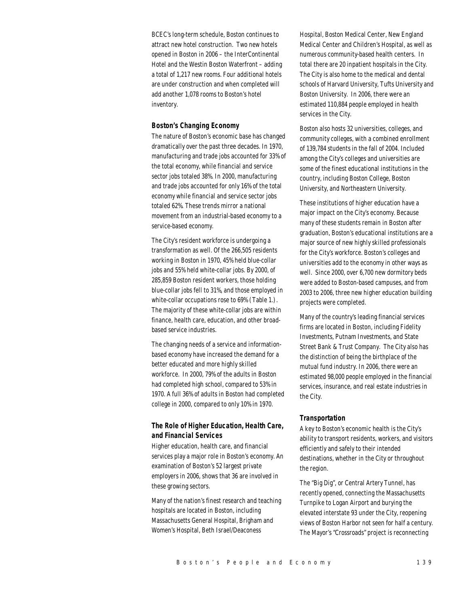BCEC's long-term schedule, Boston continues to attract new hotel construction. Two new hotels opened in Boston in 2006 – the InterContinental Hotel and the Westin Boston Waterfront – adding a total of 1,217 new rooms. Four additional hotels are under construction and when completed will add another 1,078 rooms to Boston's hotel inventory.

#### *Boston's Changing Economy*

The nature of Boston's economic base has changed dramatically over the past three decades. In 1970, manufacturing and trade jobs accounted for 33% of the total economy, while financial and service sector jobs totaled 38%. In 2000, manufacturing and trade jobs accounted for only 16% of the total economy while financial and service sector jobs totaled 62%. These trends mirror a national movement from an industrial-based economy to a service-based economy.

The City's resident workforce is undergoing a transformation as well. Of the 266,505 residents working in Boston in 1970, 45% held blue-collar jobs and 55% held white-collar jobs. By 2000, of 285,859 Boston resident workers, those holding blue-collar jobs fell to 31%, and those employed in white-collar occupations rose to 69% (Table 1.). The majority of these white-collar jobs are within finance, health care, education, and other broadbased service industries.

The changing needs of a service and informationbased economy have increased the demand for a better educated and more highly skilled workforce. In 2000, 79% of the adults in Boston had completed high school, compared to 53% in 1970. A full 36% of adults in Boston had completed college in 2000, compared to only 10% in 1970.

## *The Role of Higher Education, Health Care, and Financial Services*

Higher education, health care, and financial services play a major role in Boston's economy. An examination of Boston's 52 largest private employers in 2006, shows that 36 are involved in these growing sectors.

Many of the nation's finest research and teaching hospitals are located in Boston, including Massachusetts General Hospital, Brigham and Women's Hospital, Beth Israel/Deaconess

Hospital, Boston Medical Center, New England Medical Center and Children's Hospital, as well as numerous community-based health centers. In total there are 20 inpatient hospitals in the City. The City is also home to the medical and dental schools of Harvard University, Tufts University and Boston University. In 2006, there were an estimated 110,884 people employed in health services in the City.

Boston also hosts 32 universities, colleges, and community colleges, with a combined enrollment of 139,784 students in the fall of 2004. Included among the City's colleges and universities are some of the finest educational institutions in the country, including Boston College, Boston University, and Northeastern University.

These institutions of higher education have a major impact on the City's economy. Because many of these students remain in Boston after graduation, Boston's educational institutions are a major source of new highly skilled professionals for the City's workforce. Boston's colleges and universities add to the economy in other ways as well. Since 2000, over 6,700 new dormitory beds were added to Boston-based campuses, and from 2003 to 2006, three new higher education building projects were completed.

Many of the country's leading financial services firms are located in Boston, including Fidelity Investments, Putnam Investments, and State Street Bank & Trust Company. The City also has the distinction of being the birthplace of the mutual fund industry. In 2006, there were an estimated 98,000 people employed in the financial services, insurance, and real estate industries in the City.

#### *Transportation*

A key to Boston's economic health is the City's ability to transport residents, workers, and visitors efficiently and safely to their intended destinations, whether in the City or throughout the region.

The "Big Dig", or Central Artery Tunnel, has recently opened, connecting the Massachusetts Turnpike to Logan Airport and burying the elevated interstate 93 under the City, reopening views of Boston Harbor not seen for half a century. The Mayor's "Crossroads" project is reconnecting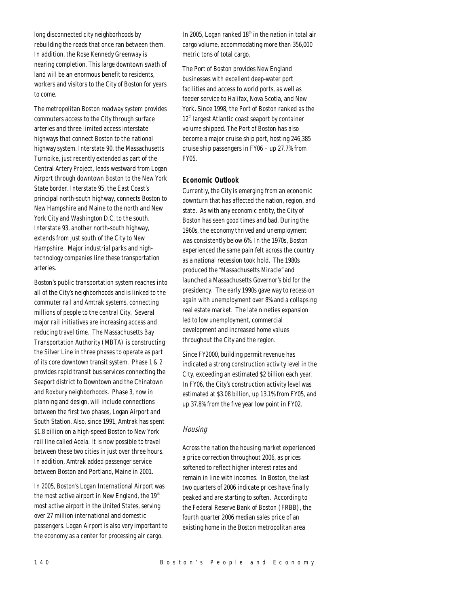long disconnected city neighborhoods by rebuilding the roads that once ran between them. In addition, the Rose Kennedy Greenway is nearing completion. This large downtown swath of land will be an enormous benefit to residents, workers and visitors to the City of Boston for years to come.

The metropolitan Boston roadway system provides commuters access to the City through surface arteries and three limited access interstate highways that connect Boston to the national highway system. Interstate 90, the Massachusetts Turnpike, just recently extended as part of the Central Artery Project, leads westward from Logan Airport through downtown Boston to the New York State border. Interstate 95, the East Coast's principal north-south highway, connects Boston to New Hampshire and Maine to the north and New York City and Washington D.C. to the south. Interstate 93, another north-south highway, extends from just south of the City to New Hampshire. Major industrial parks and hightechnology companies line these transportation arteries.

Boston's public transportation system reaches into all of the City's neighborhoods and is linked to the commuter rail and Amtrak systems, connecting millions of people to the central City. Several major rail initiatives are increasing access and reducing travel time. The Massachusetts Bay Transportation Authority (MBTA) is constructing the Silver Line in three phases to operate as part of its core downtown transit system. Phase 1 & 2 provides rapid transit bus services connecting the Seaport district to Downtown and the Chinatown and Roxbury neighborhoods. Phase 3, now in planning and design, will include connections between the first two phases, Logan Airport and South Station. Also, since 1991, Amtrak has spent \$1.8 billion on a high-speed Boston to New York rail line called Acela. It is now possible to travel between these two cities in just over three hours. In addition, Amtrak added passenger service between Boston and Portland, Maine in 2001.

In 2005, Boston's Logan International Airport was the most active airport in New England, the  $19<sup>th</sup>$ most active airport in the United States, serving over 27 million international and domestic passengers. Logan Airport is also very important to the economy as a center for processing air cargo.

In 2005, Logan ranked  $18<sup>th</sup>$  in the nation in total air cargo volume, accommodating more than 356,000 metric tons of total cargo.

The Port of Boston provides New England businesses with excellent deep-water port facilities and access to world ports, as well as feeder service to Halifax, Nova Scotia, and New York. Since 1998, the Port of Boston ranked as the  $12<sup>th</sup>$  largest Atlantic coast seaport by container volume shipped. The Port of Boston has also become a major cruise ship port, hosting 246,385 cruise ship passengers in FY06 – up 27.7% from FY05.

## *Economic Outlook*

Currently, the City is emerging from an economic downturn that has affected the nation, region, and state. As with any economic entity, the City of Boston has seen good times and bad. During the 1960s, the economy thrived and unemployment was consistently below 6%. In the 1970s, Boston experienced the same pain felt across the country as a national recession took hold. The 1980s produced the "Massachusetts Miracle" and launched a Massachusetts Governor's bid for the presidency. The early 1990s gave way to recession again with unemployment over 8% and a collapsing real estate market. The late nineties expansion led to low unemployment, commercial development and increased home values throughout the City and the region.

Since FY2000, building permit revenue has indicated a strong construction activity level in the City, exceeding an estimated \$2 billion each year. In FY06, the City's construction activity level was estimated at \$3.08 billion, up 13.1% from FY05, and up 37.8% from the five year low point in FY02.

## **Housing**

Across the nation the housing market experienced a price correction throughout 2006, as prices softened to reflect higher interest rates and remain in line with incomes. In Boston, the last two quarters of 2006 indicate prices have finally peaked and are starting to soften. According to the Federal Reserve Bank of Boston (FRBB), the fourth quarter 2006 median sales price of an existing home in the Boston metropolitan area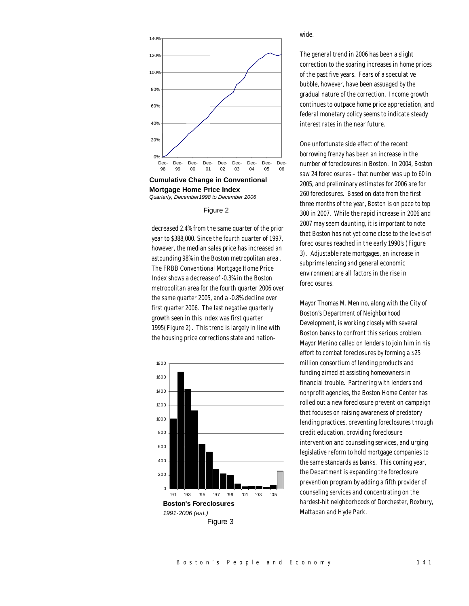

**Cumulative Change in Conventional Mortgage Home Price Index** *Quarterly, December1998 to December 2006*

#### Figure 2

decreased 2.4% from the same quarter of the prior year to \$388,000. Since the fourth quarter of 1997, however, the median sales price has increased an astounding 98% in the Boston metropolitan area . The FRBB Conventional Mortgage Home Price Index shows a decrease of -0.3% in the Boston metropolitan area for the fourth quarter 2006 over the same quarter 2005, and a -0.8% decline over first quarter 2006. The last negative quarterly growth seen in this index was first quarter 1995(Figure 2). This trend is largely in line with the housing price corrections state and nation-



wide.

The general trend in 2006 has been a slight correction to the soaring increases in home prices of the past five years. Fears of a speculative bubble, however, have been assuaged by the gradual nature of the correction. Income growth continues to outpace home price appreciation, and federal monetary policy seems to indicate steady interest rates in the near future.

One unfortunate side effect of the recent borrowing frenzy has been an increase in the number of foreclosures in Boston. In 2004, Boston saw 24 foreclosures – that number was up to 60 in 2005, and preliminary estimates for 2006 are for 260 foreclosures. Based on data from the first three months of the year, Boston is on pace to top 300 in 2007. While the rapid increase in 2006 and 2007 may seem daunting, it is important to note that Boston has not yet come close to the levels of foreclosures reached in the early 1990's (Figure 3). Adjustable rate mortgages, an increase in subprime lending and general economic environment are all factors in the rise in foreclosures.

Mayor Thomas M. Menino, along with the City of Boston's Department of Neighborhood Development, is working closely with several Boston banks to confront this serious problem. Mayor Menino called on lenders to join him in his effort to combat foreclosures by forming a \$25 million consortium of lending products and funding aimed at assisting homeowners in financial trouble. Partnering with lenders and nonprofit agencies, the Boston Home Center has rolled out a new foreclosure prevention campaign that focuses on raising awareness of predatory lending practices, preventing foreclosures through credit education, providing foreclosure intervention and counseling services, and urging legislative reform to hold mortgage companies to the same standards as banks. This coming year, the Department is expanding the foreclosure prevention program by adding a fifth provider of counseling services and concentrating on the hardest-hit neighborhoods of Dorchester, Roxbury, Mattapan and Hyde Park.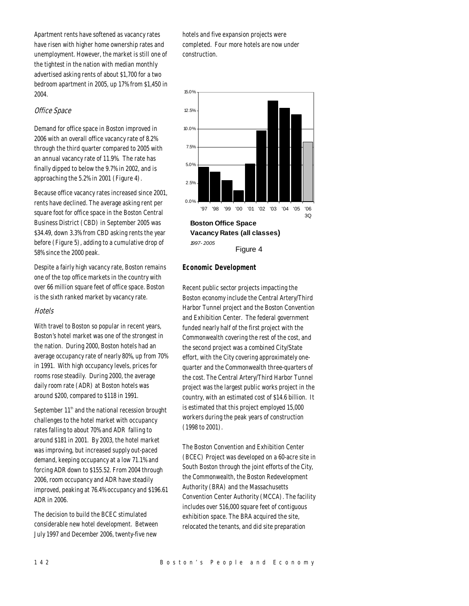Apartment rents have softened as vacancy rates have risen with higher home ownership rates and unemployment. However, the market is still one of the tightest in the nation with median monthly advertised asking rents of about \$1,700 for a two bedroom apartment in 2005, up 17% from \$1,450 in 2004.

## Office Space

Demand for office space in Boston improved in 2006 with an overall office vacancy rate of 8.2% through the third quarter compared to 2005 with an annual vacancy rate of 11.9%. The rate has finally dipped to below the 9.7% in 2002, and is approaching the 5.2% in 2001 (Figure 4).

Because office vacancy rates increased since 2001, rents have declined. The average asking rent per square foot for office space in the Boston Central Business District (CBD) in September 2005 was \$34.49, down 3.3% from CBD asking rents the year before (Figure 5), adding to a cumulative drop of 58% since the 2000 peak.

Despite a fairly high vacancy rate, Boston remains one of the top office markets in the country with over 66 million square feet of office space. Boston is the sixth ranked market by vacancy rate.

#### **Hotels**

With travel to Boston so popular in recent years, Boston's hotel market was one of the strongest in the nation. During 2000, Boston hotels had an average occupancy rate of nearly 80%, up from 70% in 1991. With high occupancy levels, prices for rooms rose steadily. During 2000, the average daily room rate (ADR) at Boston hotels was around \$200, compared to \$118 in 1991.

September  $11<sup>th</sup>$  and the national recession brought challenges to the hotel market with occupancy rates falling to about 70% and ADR falling to around \$181 in 2001. By 2003, the hotel market was improving, but increased supply out-paced demand, keeping occupancy at a low 71.1% and forcing ADR down to \$155.52. From 2004 through 2006, room occupancy and ADR have steadily improved, peaking at 76.4% occupancy and \$196.61 ADR in 2006.

The decision to build the BCEC stimulated considerable new hotel development. Between July 1997 and December 2006, twenty-five new

hotels and five expansion projects were completed. Four more hotels are now under construction.



## *Economic Development*

Recent public sector projects impacting the Boston economy include the Central Artery/Third Harbor Tunnel project and the Boston Convention and Exhibition Center. The federal government funded nearly half of the first project with the Commonwealth covering the rest of the cost, and the second project was a combined City/State effort, with the City covering approximately onequarter and the Commonwealth three-quarters of the cost. The Central Artery/Third Harbor Tunnel project was the largest public works project in the country, with an estimated cost of \$14.6 billion. It is estimated that this project employed 15,000 workers during the peak years of construction (1998 to 2001).

The Boston Convention and Exhibition Center (BCEC) Project was developed on a 60-acre site in South Boston through the joint efforts of the City, the Commonwealth, the Boston Redevelopment Authority (BRA) and the Massachusetts Convention Center Authority (MCCA). The facility includes over 516,000 square feet of contiguous exhibition space. The BRA acquired the site, relocated the tenants, and did site preparation